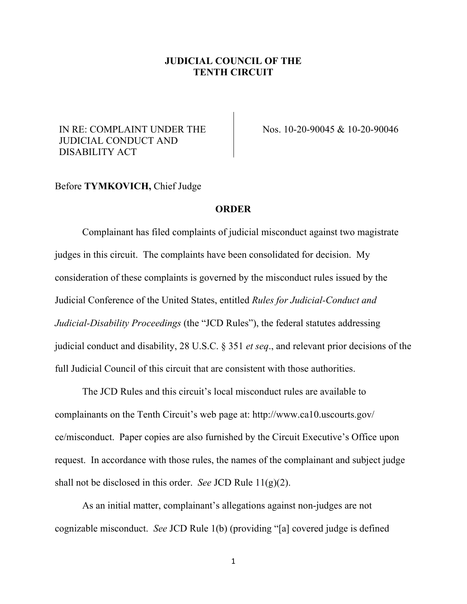## **JUDICIAL COUNCIL OF THE TENTH CIRCUIT**

## IN RE: COMPLAINT UNDER THE JUDICIAL CONDUCT AND DISABILITY ACT

Nos. 10-20-90045 & 10-20-90046

## Before **TYMKOVICH,** Chief Judge

## **ORDER**

Complainant has filed complaints of judicial misconduct against two magistrate judges in this circuit. The complaints have been consolidated for decision. My consideration of these complaints is governed by the misconduct rules issued by the Judicial Conference of the United States, entitled *Rules for Judicial-Conduct and Judicial-Disability Proceedings* (the "JCD Rules"), the federal statutes addressing judicial conduct and disability, 28 U.S.C. § 351 *et seq*., and relevant prior decisions of the full Judicial Council of this circuit that are consistent with those authorities.

The JCD Rules and this circuit's local misconduct rules are available to complainants on the Tenth Circuit's web page at: http://www.ca10.uscourts.gov/ ce/misconduct. Paper copies are also furnished by the Circuit Executive's Office upon request. In accordance with those rules, the names of the complainant and subject judge shall not be disclosed in this order. *See* JCD Rule 11(g)(2).

As an initial matter, complainant's allegations against non-judges are not cognizable misconduct. *See* JCD Rule 1(b) (providing "[a] covered judge is defined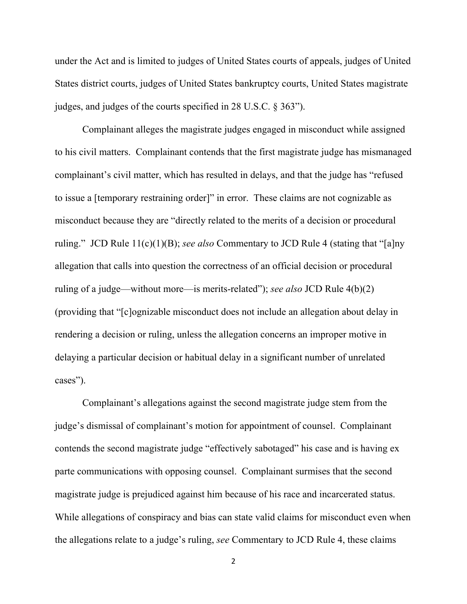under the Act and is limited to judges of United States courts of appeals, judges of United States district courts, judges of United States bankruptcy courts, United States magistrate judges, and judges of the courts specified in 28 U.S.C. § 363").

Complainant alleges the magistrate judges engaged in misconduct while assigned to his civil matters. Complainant contends that the first magistrate judge has mismanaged complainant's civil matter, which has resulted in delays, and that the judge has "refused to issue a [temporary restraining order]" in error. These claims are not cognizable as misconduct because they are "directly related to the merits of a decision or procedural ruling." JCD Rule 11(c)(1)(B); *see also* Commentary to JCD Rule 4 (stating that "[a]ny allegation that calls into question the correctness of an official decision or procedural ruling of a judge—without more—is merits-related"); *see also* JCD Rule 4(b)(2) (providing that "[c]ognizable misconduct does not include an allegation about delay in rendering a decision or ruling, unless the allegation concerns an improper motive in delaying a particular decision or habitual delay in a significant number of unrelated cases").

Complainant's allegations against the second magistrate judge stem from the judge's dismissal of complainant's motion for appointment of counsel. Complainant contends the second magistrate judge "effectively sabotaged" his case and is having ex parte communications with opposing counsel. Complainant surmises that the second magistrate judge is prejudiced against him because of his race and incarcerated status. While allegations of conspiracy and bias can state valid claims for misconduct even when the allegations relate to a judge's ruling, *see* Commentary to JCD Rule 4, these claims

2